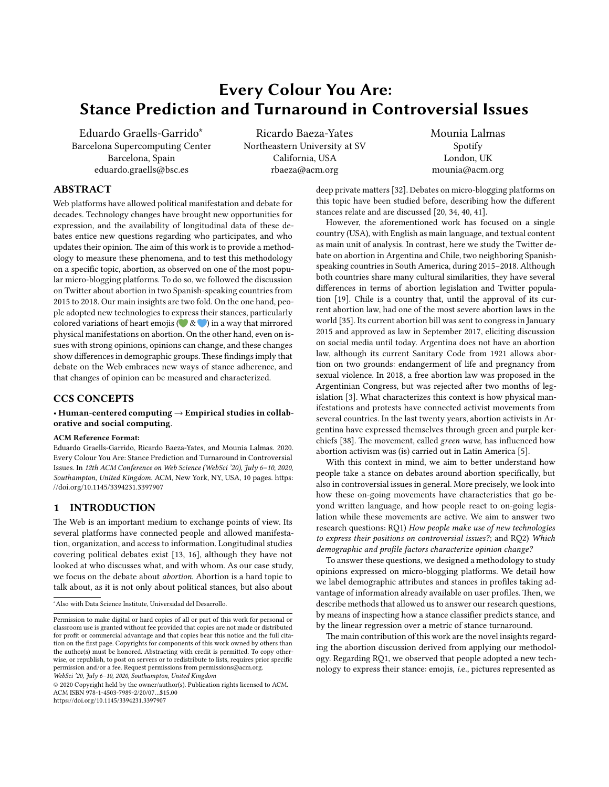# **Every Colour You Are: Stance Prediction and Turnaround in Controversial Issues**

Eduardo Graells-Garrido∗ Barcelona Supercomputing Center Barcelona, Spain eduardo.graells@bsc.es

Ricardo Baeza-Yates Northeastern University at SV California, USA rbaeza@acm.org

Mounia Lalmas Spotify London, UK mounia@acm.org

# **ABSTRACT**

Web platforms have allowed political manifestation and debate for decades. Technology changes have brought new opportunities for expression, and the availability of longitudinal data of these debates entice new questions regarding who participates, and who updates their opinion. The aim of this work is to provide a methodology to measure these phenomena, and to test this methodology on a specific topic, abortion, as observed on one of the most popular micro-blogging platforms. To do so, we followed the discussion on Twitter about abortion in two Spanish-speaking countries from 2015 to 2018. Our main insights are two fold. On the one hand, people adopted new technologies to express their stances, particularly colored variations of heart emojis (  $\bullet \& \bullet$  ) in a way that mirrored physical manifestations on abortion. On the other hand, even on issues with strong opinions, opinions can change, and these changes show differences in demographic groups.These findings imply that debate on the Web embraces new ways of stance adherence, and that changes of opinion can be measured and characterized.

# **CCS CONCEPTS**

#### • **Human-centered computing** → **Empirical studies in collaborative and social computing**.

#### **ACM Reference Format:**

Eduardo Graells-Garrido, Ricardo Baeza-Yates, and Mounia Lalmas. 2020. Every Colour You Are: Stance Prediction and Turnaround in Controversial Issues. In *12th ACM Conference on Web Science (WebSci '20), July 6–10, 2020, Southampton, United Kingdom.* ACM, New York, NY, USA, 10 pages. https: //doi.org/10.1145/3394231.3397907

# **1 INTRODUCTION**

The Web is an important medium to exchange points of view. Its several platforms have connected people and allowed manifestation, organization, and access to information. Longitudinal studies covering political debates exist [13, 16], although they have not looked at who discusses what, and with whom. As our case study, we focus on the debate about *abortion*. Abortion is a hard topic to talk about, as it is not only about political stances, but also about

*WebSci '20, July 6–10, 2020, Southampton, United Kingdom*

deep private matters [32]. Debates on micro-blogging platforms on this topic have been studied before, describing how the different stances relate and are discussed [20, 34, 40, 41].

However, the aforementioned work has focused on a single country (USA), with English as main language, and textual content as main unit of analysis. In contrast, here we study the Twitter debate on abortion in Argentina and Chile, two neighboring Spanishspeaking countries in South America, during 2015–2018. Although both countries share many cultural similarities, they have several differences in terms of abortion legislation and Twitter population [19]. Chile is a country that, until the approval of its current abortion law, had one of the most severe abortion laws in the world [35]. Its current abortion bill was sent to congress in January 2015 and approved as law in September 2017, eliciting discussion on social media until today. Argentina does not have an abortion law, although its current Sanitary Code from 1921 allows abortion on two grounds: endangerment of life and pregnancy from sexual violence. In 2018, a free abortion law was proposed in the Argentinian Congress, but was rejected after two months of legislation [3]. What characterizes this context is how physical manifestations and protests have connected activist movements from several countries. In the last twenty years, abortion activists in Argentina have expressed themselves through green and purple kerchiefs [38]. The movement, called *green wave*, has influenced how abortion activism was (is) carried out in Latin America [5].

With this context in mind, we aim to better understand how people take a stance on debates around abortion specifically, but also in controversial issues in general. More precisely, we look into how these on-going movements have characteristics that go beyond written language, and how people react to on-going legislation while these movements are active. We aim to answer two research questions: RQ1) *How people make use of new technologies to express their positions on controversial issues?*; and RQ2) *Which demographic and profile factors characterize opinion change?*

To answer these questions, we designed a methodology to study opinions expressed on micro-blogging platforms. We detail how we label demographic attributes and stances in profiles taking advantage of information already available on user profiles. Then, we describe methods that allowed us to answer our research questions, by means of inspecting how a stance classifier predicts stance, and by the linear regression over a metric of stance turnaround.

The main contribution of this work are the novel insights regarding the abortion discussion derived from applying our methodology. Regarding RQ1, we observed that people adopted a new technology to express their stance: emojis, *i*.e., pictures represented as

<sup>∗</sup>Also with Data Science Institute, Universidad del Desarrollo.

Permission to make digital or hard copies of all or part of this work for personal or classroom use is granted without fee provided that copies are not made or distributed for profit or commercial advantage and that copies bear this notice and the full citation on the first page. Copyrights for components of this work owned by others than the author(s) must be honored. Abstracting with credit is permitted. To copy otherwise, or republish, to post on servers or to redistribute to lists, requires prior specific permission and/or a fee. Request permissions from permissions@acm.org.

<sup>© 2020</sup> Copyright held by the owner/author(s). Publication rights licensed to ACM. ACM ISBN 978-1-4503-7989-2/20/07…\$15.00 https://doi.org/10.1145/3394231.3397907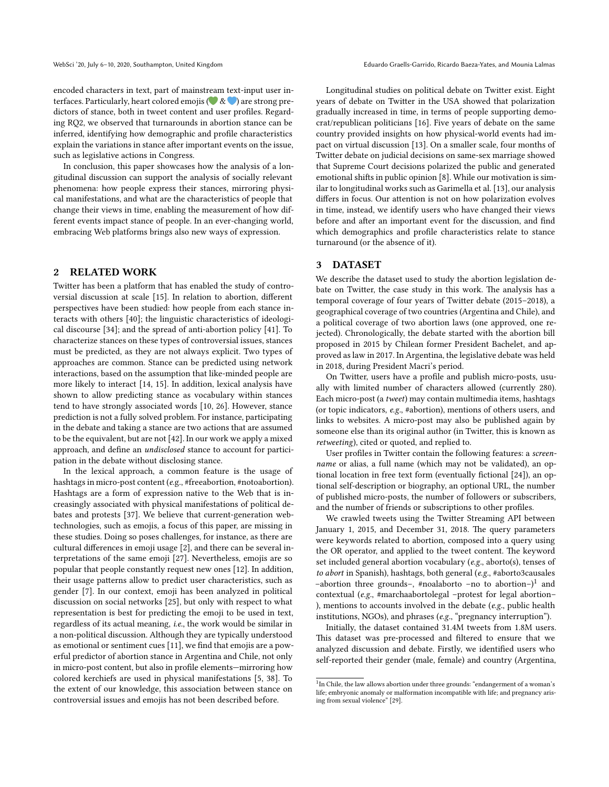encoded characters in text, part of mainstream text-input user interfaces. Particularly, heart colored emojis ( $\&$   $\&$   $\bullet$ ) are strong predictors of stance, both in tweet content and user profiles. Regarding RQ2, we observed that turnarounds in abortion stance can be inferred, identifying how demographic and profile characteristics explain the variations in stance after important events on the issue, such as legislative actions in Congress.

In conclusion, this paper showcases how the analysis of a longitudinal discussion can support the analysis of socially relevant phenomena: how people express their stances, mirroring physical manifestations, and what are the characteristics of people that change their views in time, enabling the measurement of how different events impact stance of people. In an ever-changing world, embracing Web platforms brings also new ways of expression.

# **2 RELATED WORK**

Twitter has been a platform that has enabled the study of controversial discussion at scale [15]. In relation to abortion, different perspectives have been studied: how people from each stance interacts with others [40]; the linguistic characteristics of ideological discourse [34]; and the spread of anti-abortion policy [41]. To characterize stances on these types of controversial issues, stances must be predicted, as they are not always explicit. Two types of approaches are common. Stance can be predicted using network interactions, based on the assumption that like-minded people are more likely to interact [14, 15]. In addition, lexical analysis have shown to allow predicting stance as vocabulary within stances tend to have strongly associated words [10, 26]. However, stance prediction is not a fully solved problem. For instance, participating in the debate and taking a stance are two actions that are assumed to be the equivalent, but are not [42]. In our work we apply a mixed approach, and define an *undisclosed* stance to account for participation in the debate without disclosing stance.

In the lexical approach, a common feature is the usage of hashtags in micro-post content (*e*.g., #freeabortion, #notoabortion). Hashtags are a form of expression native to the Web that is increasingly associated with physical manifestations of political debates and protests [37]. We believe that current-generation webtechnologies, such as emojis, a focus of this paper, are missing in these studies. Doing so poses challenges, for instance, as there are cultural differences in emoji usage [2], and there can be several interpretations of the same emoji [27]. Nevertheless, emojis are so popular that people constantly request new ones [12]. In addition, their usage patterns allow to predict user characteristics, such as gender [7]. In our context, emoji has been analyzed in political discussion on social networks [25], but only with respect to what representation is best for predicting the emoji to be used in text, regardless of its actual meaning, *i.e.*, the work would be similar in a non-political discussion. Although they are typically understood as emotional or sentiment cues [11], we find that emojis are a powerful predictor of abortion stance in Argentina and Chile, not only in micro-post content, but also in profile elements—mirroring how colored kerchiefs are used in physical manifestations [5, 38]. To the extent of our knowledge, this association between stance on controversial issues and emojis has not been described before.

Longitudinal studies on political debate on Twitter exist. Eight years of debate on Twitter in the USA showed that polarization gradually increased in time, in terms of people supporting democrat/republican politicians [16]. Five years of debate on the same country provided insights on how physical-world events had impact on virtual discussion [13]. On a smaller scale, four months of Twitter debate on judicial decisions on same-sex marriage showed that Supreme Court decisions polarized the public and generated emotional shifts in public opinion [8]. While our motivation is similar to longitudinal works such as Garimella et al. [13], our analysis differs in focus. Our attention is not on how polarization evolves in time, instead, we identify users who have changed their views before and after an important event for the discussion, and find which demographics and profile characteristics relate to stance turnaround (or the absence of it).

# **3 DATASET**

We describe the dataset used to study the abortion legislation debate on Twitter, the case study in this work. The analysis has a temporal coverage of four years of Twitter debate (2015–2018), a geographical coverage of two countries (Argentina and Chile), and a political coverage of two abortion laws (one approved, one rejected). Chronologically, the debate started with the abortion bill proposed in 2015 by Chilean former President Bachelet, and approved as law in 2017. In Argentina, the legislative debate was held in 2018, during President Macri's period.

On Twitter, users have a profile and publish micro-posts, usually with limited number of characters allowed (currently 280). Each micro-post (a *tweet*) may contain multimedia items, hashtags (or topic indicators, *e.g.*, #abortion), mentions of others users, and links to websites. A micro-post may also be published again by someone else than its original author (in Twitter, this is known as *retweeting*), cited or quoted, and replied to.

User profiles in Twitter contain the following features: a *screenname* or alias, a full name (which may not be validated), an optional location in free text form (eventually fictional [24]), an optional self-description or biography, an optional URL, the number of published micro-posts, the number of followers or subscribers, and the number of friends or subscriptions to other profiles.

We crawled tweets using the Twitter Streaming API between January 1, 2015, and December 31, 2018. The query parameters were keywords related to abortion, composed into a query using the OR operator, and applied to the tweet content. The keyword set included general abortion vocabulary (*e.g.*, aborto(s), tenses of *to abort* in Spanish), hashtags, both general (*e.g.*, #aborto3causales –abortion three grounds–, #noalaborto –no to abortion–)<sup>1</sup> and contextual (*e.g.*, #marchaabortolegal –protest for legal abortion– ), mentions to accounts involved in the debate (*e.g.*, public health institutions, NGOs), and phrases (*e.g.*, "pregnancy interruption").

Initially, the dataset contained 31.4M tweets from 1.8M users. This dataset was pre-processed and filtered to ensure that we analyzed discussion and debate. Firstly, we identified users who self-reported their gender (male, female) and country (Argentina,

<sup>&</sup>lt;sup>1</sup>In Chile, the law allows abortion under three grounds: "endangerment of a woman's life; embryonic anomaly or malformation incompatible with life; and pregnancy arising from sexual violence" [29].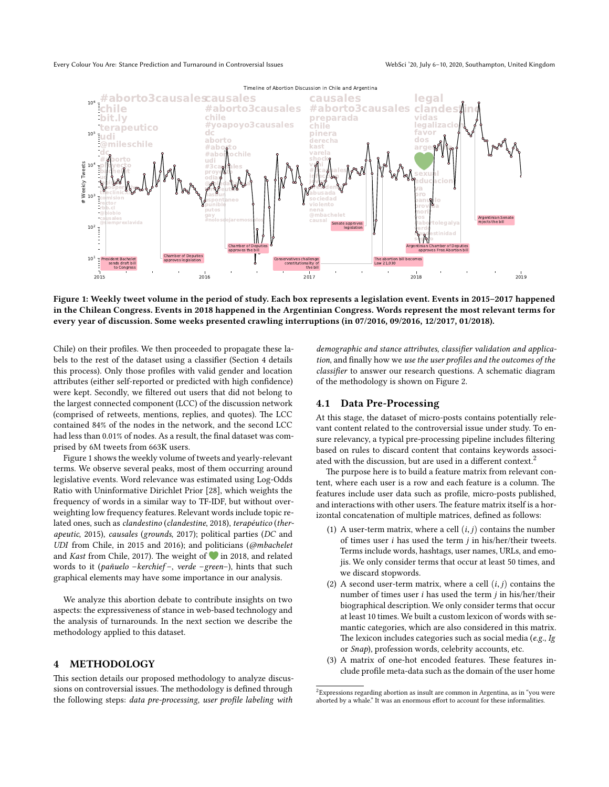

**Figure 1: Weekly tweet volume in the period of study. Each box represents a legislation event. Events in 2015–2017 happened in the Chilean Congress. Events in 2018 happened in the Argentinian Congress. Words represent the most relevant terms for every year of discussion. Some weeks presented crawling interruptions (in 07/2016, 09/2016, 12/2017, 01/2018).**

Chile) on their profiles. We then proceeded to propagate these labels to the rest of the dataset using a classifier (Section 4 details this process). Only those profiles with valid gender and location attributes (either self-reported or predicted with high confidence) were kept. Secondly, we filtered out users that did not belong to the largest connected component (LCC) of the discussion network (comprised of retweets, mentions, replies, and quotes). The LCC contained 84% of the nodes in the network, and the second LCC had less than 0.01% of nodes. As a result, the final dataset was comprised by 6M tweets from 663K users.

Figure 1 shows the weekly volume of tweets and yearly-relevant terms. We observe several peaks, most of them occurring around legislative events. Word relevance was estimated using Log-Odds Ratio with Uninformative Dirichlet Prior [28], which weights the frequency of words in a similar way to TF-IDF, but without overweighting low frequency features. Relevant words include topic related ones, such as *clandestino* (*clandestine*, 2018), *terapéutico* (*therapeutic*, 2015), *causales* (*grounds*, 2017); political parties (*DC* and *UDI* from Chile, in 2015 and 2016); and politicians (*@mbachelet* and *Kast* from Chile, 2017). The weight of in 2018, and related words to it (*pañuelo* –*kerchief* –, *verde* –*green*–), hints that such graphical elements may have some importance in our analysis.

We analyze this abortion debate to contribute insights on two aspects: the expressiveness of stance in web-based technology and the analysis of turnarounds. In the next section we describe the methodology applied to this dataset.

# **4 METHODOLOGY**

This section details our proposed methodology to analyze discussions on controversial issues. The methodology is defined through the following steps: *data pre-processing*, *user profile labeling with*

*demographic and stance attributes*, *classifier validation and application*, and finally how we *use the user profiles and the outcomes of the classifier* to answer our research questions. A schematic diagram of the methodology is shown on Figure 2.

### **4.1 Data Pre-Processing**

At this stage, the dataset of micro-posts contains potentially relevant content related to the controversial issue under study. To ensure relevancy, a typical pre-processing pipeline includes filtering based on rules to discard content that contains keywords associated with the discussion, but are used in a different context.<sup>2</sup>

The purpose here is to build a feature matrix from relevant content, where each user is a row and each feature is a column. The features include user data such as profile, micro-posts published, and interactions with other users. The feature matrix itself is a horizontal concatenation of multiple matrices, defined as follows:

- (1) A user-term matrix, where a cell  $(i, j)$  contains the number of times user *i* has used the term *j* in his/her/their tweets. Terms include words, hashtags, user names, URLs, and emojis. We only consider terms that occur at least 50 times, and we discard stopwords.
- (2) A second user-term matrix, where a cell  $(i, j)$  contains the number of times user *i* has used the term *j* in his/her/their biographical description. We only consider terms that occur at least 10 times. We built a custom lexicon of words with semantic categories, which are also considered in this matrix. The lexicon includes categories such as social media (*e.g.*, *Ig* or *Snap*), profession words, celebrity accounts, etc.
- (3) A matrix of one-hot encoded features. These features include profile meta-data such as the domain of the user home

<sup>2</sup>Expressions regarding abortion as insult are common in Argentina, as in "you were aborted by a whale." It was an enormous effort to account for these informalities.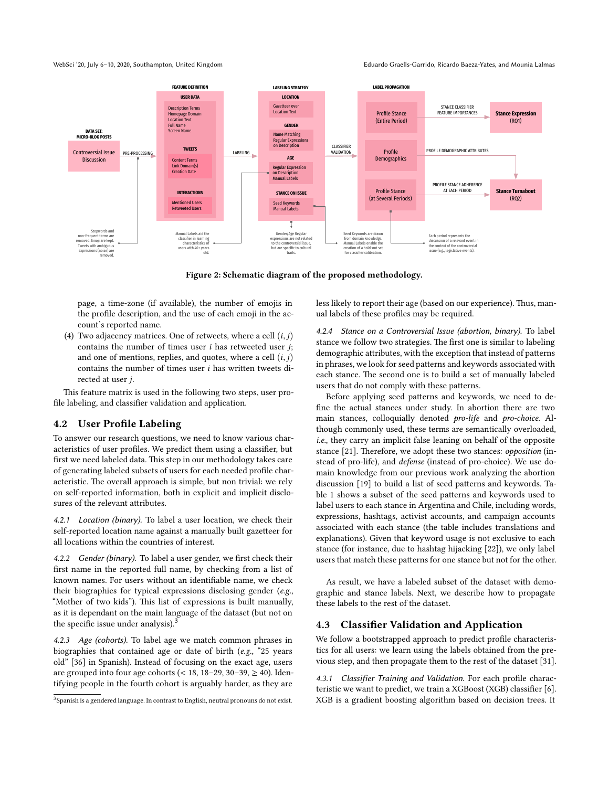WebSci '20, July 6–10, 2020, Southampton, United Kingdom Eduardo Graells-Garrido, Ricardo Baeza-Yates, and Mounia Lalmas



**Figure 2: Schematic diagram of the proposed methodology.**

page, a time-zone (if available), the number of emojis in the profile description, and the use of each emoji in the account's reported name.

(4) Two adjacency matrices. One of retweets, where a cell (*i*, *j*) contains the number of times user *i* has retweeted user *j*; and one of mentions, replies, and quotes, where a cell (*i*, *j*) contains the number of times user *i* has written tweets directed at user *j*.

This feature matrix is used in the following two steps, user profile labeling, and classifier validation and application.

#### **4.2 User Profile Labeling**

To answer our research questions, we need to know various characteristics of user profiles. We predict them using a classifier, but first we need labeled data. This step in our methodology takes care of generating labeled subsets of users for each needed profile characteristic. The overall approach is simple, but non trivial: we rely on self-reported information, both in explicit and implicit disclosures of the relevant attributes.

4.2.1 Location (binary). To label a user location, we check their self-reported location name against a manually built gazetteer for all locations within the countries of interest.

4.2.2 Gender (binary). To label a user gender, we first check their first name in the reported full name, by checking from a list of known names. For users without an identifiable name, we check their biographies for typical expressions disclosing gender (*e.g.*, "Mother of two kids"). This list of expressions is built manually, as it is dependant on the main language of the dataset (but not on the specific issue under analysis).<sup>3</sup>

4.2.3 Age (cohorts). To label age we match common phrases in biographies that contained age or date of birth (*e.g.*, "25 years old" [36] in Spanish). Instead of focusing on the exact age, users are grouped into four age cohorts (< 18, 18-29, 30-39,  $\geq$  40). Identifying people in the fourth cohort is arguably harder, as they are

less likely to report their age (based on our experience). Thus, manual labels of these profiles may be required.

4.2.4 Stance on a Controversial Issue (abortion, binary). To label stance we follow two strategies. The first one is similar to labeling demographic attributes, with the exception that instead of patterns in phrases, we look for seed patterns and keywords associated with each stance. The second one is to build a set of manually labeled users that do not comply with these patterns.

Before applying seed patterns and keywords, we need to define the actual stances under study. In abortion there are two main stances, colloquially denoted *pro-life* and *pro-choice*. Although commonly used, these terms are semantically overloaded, *i.e.*, they carry an implicit false leaning on behalf of the opposite stance [21]. Therefore, we adopt these two stances: *opposition* (instead of pro-life), and *defense* (instead of pro-choice). We use domain knowledge from our previous work analyzing the abortion discussion [19] to build a list of seed patterns and keywords. Table 1 shows a subset of the seed patterns and keywords used to label users to each stance in Argentina and Chile, including words, expressions, hashtags, activist accounts, and campaign accounts associated with each stance (the table includes translations and explanations). Given that keyword usage is not exclusive to each stance (for instance, due to hashtag hijacking [22]), we only label users that match these patterns for one stance but not for the other.

As result, we have a labeled subset of the dataset with demographic and stance labels. Next, we describe how to propagate these labels to the rest of the dataset.

# **4.3 Classifier Validation and Application**

We follow a bootstrapped approach to predict profile characteristics for all users: we learn using the labels obtained from the previous step, and then propagate them to the rest of the dataset [31].

4.3.1 Classifier Training and Validation. For each profile characteristic we want to predict, we train a XGBoost (XGB) classifier [6]. XGB is a gradient boosting algorithm based on decision trees. It

 $3$ Spanish is a gendered language. In contrast to English, neutral pronouns do not exist.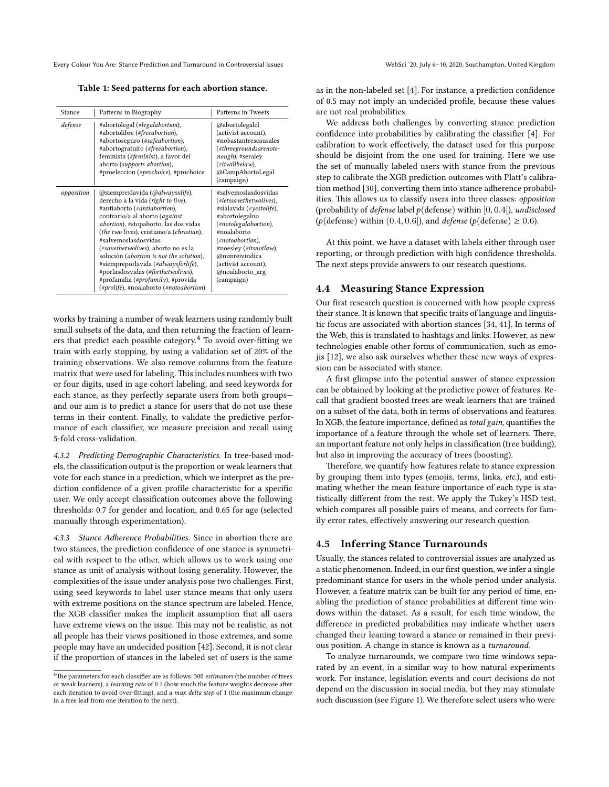Every Colour You Are: Stance Prediction and Turnaround in Controversial Issues WebSci '20, July 6-10, 2020, Southampton, United Kingdom

**Table 1: Seed patterns for each abortion stance.**

| Stance     | Patterns in Biography                                                                                                                                                                                                                                                                                                                                                                                                                                                                                  | Patterns in Tweets                                                                                                                                                                                                                                           |
|------------|--------------------------------------------------------------------------------------------------------------------------------------------------------------------------------------------------------------------------------------------------------------------------------------------------------------------------------------------------------------------------------------------------------------------------------------------------------------------------------------------------------|--------------------------------------------------------------------------------------------------------------------------------------------------------------------------------------------------------------------------------------------------------------|
| defense    | #abortolegal (#legalabortion),<br>#abortolibre (#freeabortion),<br>#abortoseguro (#safeabortion),<br>#abortogratuito (#freeabortion),<br>feminista (#feminist), a favor del<br>aborto (supports abortion),<br>#proeleccion (#prochoice), #prochoice                                                                                                                                                                                                                                                    | @abortolegalcl<br>(activist account),<br>#nobastantrescausales<br>(#threegroundsarenote-<br>nough), #seraley<br>$(\#it will be law),$<br>@CampAbortoLegal<br>(campaign)                                                                                      |
| opposition | @siemprexlavida (@alwaysxlife),<br>derecho a la vida (right to live),<br>#antiaborto (#antiabortion),<br>contrario/a al aborto (against<br>abortion), #stopaborto, las dos vidas<br>(the two lives), cristiano/a (christian),<br>#salvemoslasdosvidas<br>(#savethetwolives), aborto no es la<br>solución (abortion is not the solution),<br>#siempreporlavida (#alwaysforlife),<br>#porlasdosvidas (#forthetwolives),<br>#profamilia (#profamily), #provida<br>(#prolife), #noalaborto (#notoabortion) | #salvemoslasdosvidas<br>(#letssavethetwolives),<br>#sialavida (#yestolife),<br>#abortolegalno<br>(#notolegalabortion),<br>#noalaborto<br>(#notoabortion),<br>#noesley (#itsnotlaw),<br>@mmreivindica<br>(activist account),<br>@noalaborto arg<br>(campaign) |

works by training a number of weak learners using randomly built small subsets of the data, and then returning the fraction of learners that predict each possible category.<sup>4</sup> To avoid over-fitting we train with early stopping, by using a validation set of 20% of the training observations. We also remove columns from the feature matrix that were used for labeling. This includes numbers with two or four digits, used in age cohort labeling, and seed keywords for each stance, as they perfectly separate users from both groups and our aim is to predict a stance for users that do not use these terms in their content. Finally, to validate the predictive performance of each classifier, we measure precision and recall using 5-fold cross-validation.

4.3.2 Predicting Demographic Characteristics. In tree-based models, the classification output is the proportion or weak learners that vote for each stance in a prediction, which we interpret as the prediction confidence of a given profile characteristic for a specific user. We only accept classification outcomes above the following thresholds: 0.7 for gender and location, and 0.65 for age (selected manually through experimentation).

4.3.3 Stance Adherence Probabilities. Since in abortion there are two stances, the prediction confidence of one stance is symmetrical with respect to the other, which allows us to work using one stance as unit of analysis without losing generality. However, the complexities of the issue under analysis pose two challenges. First, using seed keywords to label user stance means that only users with extreme positions on the stance spectrum are labeled. Hence, the XGB classifier makes the implicit assumption that all users have extreme views on the issue. This may not be realistic, as not all people has their views positioned in those extremes, and some people may have an undecided position [42]. Second, it is not clear if the proportion of stances in the labeled set of users is the same

as in the non-labeled set [4]. For instance, a prediction confidence of 0.5 may not imply an undecided profile, because these values are not real probabilities.

We address both challenges by converting stance prediction confidence into probabilities by calibrating the classifier [4]. For calibration to work effectively, the dataset used for this purpose should be disjoint from the one used for training. Here we use the set of manually labeled users with stance from the previous step to calibrate the XGB prediction outcomes with Platt's calibration method [30], converting them into stance adherence probabilities. This allows us to classify users into three classes: *opposition* (probability of *defense* label *p*(defense) within [0, 0.4[), *undisclosed* ( $p$ (defense) within (0.4, 0.6[), and *defense* ( $p$ (defense)  $\geq$  0.6).

At this point, we have a dataset with labels either through user reporting, or through prediction with high confidence thresholds. The next steps provide answers to our research questions.

# **4.4 Measuring Stance Expression**

Our first research question is concerned with how people express their stance. It is known that specific traits of language and linguistic focus are associated with abortion stances [34, 41]. In terms of the Web, this is translated to hashtags and links. However, as new technologies enable other forms of communication, such as emojis [12], we also ask ourselves whether these new ways of expression can be associated with stance.

A first glimpse into the potential answer of stance expression can be obtained by looking at the predictive power of features. Recall that gradient boosted trees are weak learners that are trained on a subset of the data, both in terms of observations and features. In XGB, the feature importance, defined as*total gain*, quantifies the importance of a feature through the whole set of learners. There, an important feature not only helps in classification (tree building), but also in improving the accuracy of trees (boosting).

Therefore, we quantify how features relate to stance expression by grouping them into types (emojis, terms, links, *etc.*), and estimating whether the mean feature importance of each type is statistically different from the rest. We apply the Tukey's HSD test, which compares all possible pairs of means, and corrects for family error rates, effectively answering our research question.

# **4.5 Inferring Stance Turnarounds**

Usually, the stances related to controversial issues are analyzed as a static phenomenon. Indeed, in our first question, we infer a single predominant stance for users in the whole period under analysis. However, a feature matrix can be built for any period of time, enabling the prediction of stance probabilities at different time windows within the dataset. As a result, for each time window, the difference in predicted probabilities may indicate whether users changed their leaning toward a stance or remained in their previous position. A change in stance is known as a *turnaround*.

To analyze turnarounds, we compare two time windows separated by an event, in a similar way to how natural experiments work. For instance, legislation events and court decisions do not depend on the discussion in social media, but they may stimulate such discussion (see Figure 1). We therefore select users who were

<sup>4</sup>The parameters for each classifier are as follows: 300 *estimators* (the number of trees or weak learners), a *learning rate* of 0.1 (how much the feature weights decrease after each iteration to avoid over-fitting), and a *max delta step* of 1 (the maximum change in a tree leaf from one iteration to the next).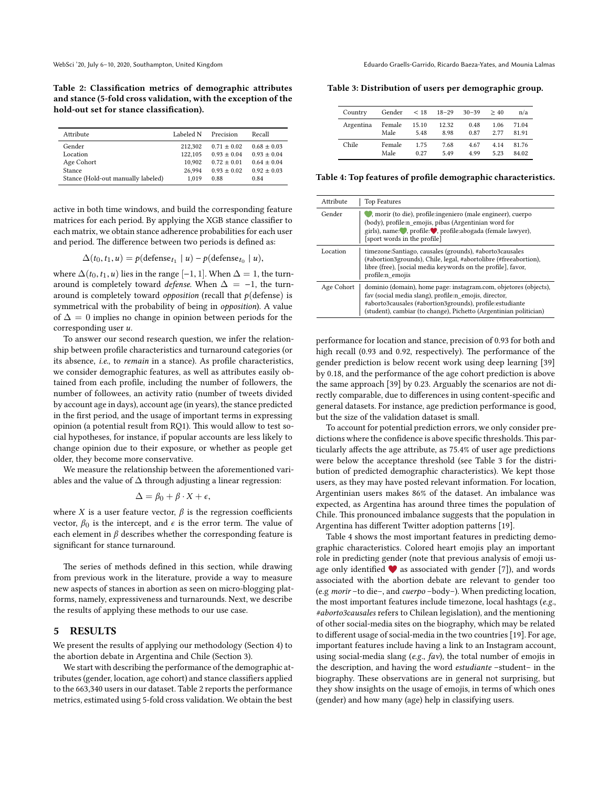**Table 2: Classification metrics of demographic attributes and stance (5-fold cross validation, with the exception of the hold-out set for stance classification).**

| Attribute                          | Labeled N | Precision     | Recall        |
|------------------------------------|-----------|---------------|---------------|
| Gender                             | 212,302   | $0.71 + 0.02$ | $0.68 + 0.03$ |
| Location                           | 122,105   | $0.93 + 0.04$ | $0.93 + 0.04$ |
| Age Cohort                         | 10.902    | $0.72 + 0.01$ | $0.64 + 0.04$ |
| <b>Stance</b>                      | 26.994    | $0.93 + 0.02$ | $0.92 + 0.03$ |
| Stance (Hold-out manually labeled) | 1.019     | 0.88          | 0.84          |

active in both time windows, and build the corresponding feature matrices for each period. By applying the XGB stance classifier to each matrix, we obtain stance adherence probabilities for each user and period. The difference between two periods is defined as:

$$
\Delta(t_0, t_1, u) = p(\text{defense}_{t_1} \mid u) - p(\text{defense}_{t_0} \mid u),
$$

where  $\Delta(t_0, t_1, u)$  lies in the range [-1, 1]. When  $\Delta = 1$ , the turnaround is completely toward *defense*. When  $\Delta = -1$ , the turnaround is completely toward *opposition* (recall that *p*(defense) is symmetrical with the probability of being in *opposition*). A value of  $\Delta = 0$  implies no change in opinion between periods for the corresponding user *u*.

To answer our second research question, we infer the relationship between profile characteristics and turnaround categories (or its absence, *i.e.*, to *remain* in a stance). As profile characteristics, we consider demographic features, as well as attributes easily obtained from each profile, including the number of followers, the number of followees, an activity ratio (number of tweets divided by account age in days), account age (in years), the stance predicted in the first period, and the usage of important terms in expressing opinion (a potential result from RQ1). This would allow to test social hypotheses, for instance, if popular accounts are less likely to change opinion due to their exposure, or whether as people get older, they become more conservative.

We measure the relationship between the aforementioned variables and the value of  $\Delta$  through adjusting a linear regression:

$$
\Delta = \beta_0 + \beta \cdot X + \epsilon,
$$

where *X* is a user feature vector,  $\beta$  is the regression coefficients vector,  $\beta_0$  is the intercept, and  $\epsilon$  is the error term. The value of each element in  $\beta$  describes whether the corresponding feature is significant for stance turnaround.

The series of methods defined in this section, while drawing from previous work in the literature, provide a way to measure new aspects of stances in abortion as seen on micro-blogging platforms, namely, expressiveness and turnarounds. Next, we describe the results of applying these methods to our use case.

# **5 RESULTS**

We present the results of applying our methodology (Section 4) to the abortion debate in Argentina and Chile (Section 3).

We start with describing the performance of the demographic attributes (gender, location, age cohort) and stance classifiers applied to the 663,340 users in our dataset. Table 2 reports the performance metrics, estimated using 5-fold cross validation. We obtain the best

WebSci '20, July 6–10, 2020, Southampton, United Kingdom Eduardo Graells-Garrido, Ricardo Baeza-Yates, and Mounia Lalmas

**Table 3: Distribution of users per demographic group.**

| Country   | Gender $< 18$  |               | $18 - 29$     | $30 - 39$     | >40          | n/a            |
|-----------|----------------|---------------|---------------|---------------|--------------|----------------|
| Argentina | Female<br>Male | 15.10<br>5.48 | 12.32<br>8.98 | 0.48<br>0.87  | 1.06<br>2.77 | 71.04<br>81.91 |
| Chile     | Female<br>Male | 1.75<br>0.27  | 7.68<br>549   | 4.67<br>4 9 9 | 4.14<br>5.23 | 81.76<br>84.02 |

**Table 4: Top features of profile demographic characteristics.**

| Attribute  | <b>Top Features</b>                                                                                                                                                                                                                                        |
|------------|------------------------------------------------------------------------------------------------------------------------------------------------------------------------------------------------------------------------------------------------------------|
| Gender     | , morir (to die), profile:ingeniero (male engineer), cuerpo<br>(body), profile:n emojis, pibas (Argentinian word for<br>girls), name: , profile: , profile:abogada (female lawyer),<br>[sport words in the profile]                                        |
| Location   | timezone:Santiago, causales (grounds), #aborto3causales<br>(#abortion3grounds), Chile, legal, #abortolibre (#freeabortion),<br>libre (free), [social media keywords on the profile], favor,<br>profile:n emojis                                            |
| Age Cohort | dominio (domain), home page: instagram.com, objetores (objects),<br>fav (social media slang), profile:n emojis, director,<br>#aborto3causales (#abortion3grounds), profile:estudiante<br>(student), cambiar (to change), Pichetto (Argentinian politician) |

performance for location and stance, precision of 0.93 for both and high recall (0.93 and 0.92, respectively). The performance of the gender prediction is below recent work using deep learning [39] by 0.18, and the performance of the age cohort prediction is above the same approach [39] by 0.23. Arguably the scenarios are not directly comparable, due to differences in using content-specific and general datasets. For instance, age prediction performance is good, but the size of the validation dataset is small.

To account for potential prediction errors, we only consider predictions where the confidence is above specific thresholds.This particularly affects the age attribute, as 75.4% of user age predictions were below the acceptance threshold (see Table 3 for the distribution of predicted demographic characteristics). We kept those users, as they may have posted relevant information. For location, Argentinian users makes 86% of the dataset. An imbalance was expected, as Argentina has around three times the population of Chile. This pronounced imbalance suggests that the population in Argentina has different Twitter adoption patterns [19].

Table 4 shows the most important features in predicting demographic characteristics. Colored heart emojis play an important role in predicting gender (note that previous analysis of emoji usage only identified  $\blacktriangledown$  as associated with gender [7]), and words associated with the abortion debate are relevant to gender too (e.g *morir* –to die–, and *cuerpo* –body–). When predicting location, the most important features include timezone, local hashtags (*e.g.*, *#aborto3causales* refers to Chilean legislation), and the mentioning of other social-media sites on the biography, which may be related to different usage of social-media in the two countries [19]. For age, important features include having a link to an Instagram account, using social-media slang (*e.g.*, *fav*), the total number of emojis in the description, and having the word *estudiante* –student– in the biography. These observations are in general not surprising, but they show insights on the usage of emojis, in terms of which ones (gender) and how many (age) help in classifying users.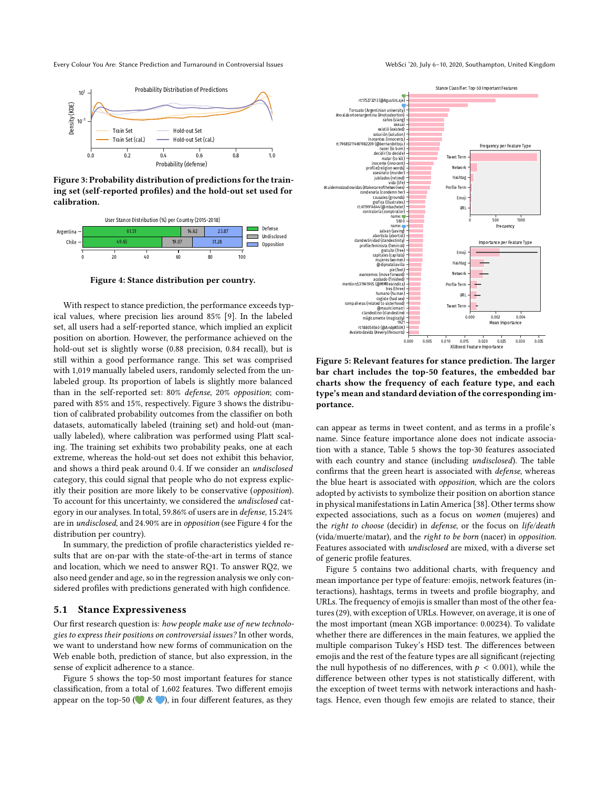Every Colour You Are: Stance Prediction and Turnaround in Controversial Issues WebSci '20, July 6-10, 2020, Southampton, United Kingdom



**Figure 3: Probability distribution of predictions for the training set (self-reported profiles) and the hold-out set used for calibration.**



**Figure 4: Stance distribution per country.**

With respect to stance prediction, the performance exceeds typical values, where precision lies around 85% [9]. In the labeled set, all users had a self-reported stance, which implied an explicit position on abortion. However, the performance achieved on the hold-out set is slightly worse (0.88 precision, 0.84 recall), but is still within a good performance range. This set was comprised with 1,019 manually labeled users, randomly selected from the unlabeled group. Its proportion of labels is slightly more balanced than in the self-reported set: 80% *defense*, 20% *opposition*; compared with 85% and 15%, respectively. Figure 3 shows the distribution of calibrated probability outcomes from the classifier on both datasets, automatically labeled (training set) and hold-out (manually labeled), where calibration was performed using Platt scaling. The training set exhibits two probability peaks, one at each extreme, whereas the hold-out set does not exhibit this behavior, and shows a third peak around 0.4. If we consider an *undisclosed* category, this could signal that people who do not express explicitly their position are more likely to be conservative (*opposition*). To account for this uncertainty, we considered the *undisclosed* category in our analyses. In total, 59.86% of users are in *defense*, 15.24% are in *undisclosed*, and 24.90% are in *opposition* (see Figure 4 for the distribution per country).

In summary, the prediction of profile characteristics yielded results that are on-par with the state-of-the-art in terms of stance and location, which we need to answer RQ1. To answer RQ2, we also need gender and age, so in the regression analysis we only considered profiles with predictions generated with high confidence.

#### **5.1 Stance Expressiveness**

Our first research question is: *how people make use of new technologies to express their positions on controversial issues?* In other words, we want to understand how new forms of communication on the Web enable both, prediction of stance, but also expression, in the sense of explicit adherence to a stance.

Figure 5 shows the top-50 most important features for stance classification, from a total of 1,602 features. Two different emojis appear on the top-50 ( $\bullet \& \bullet$ ), in four different features, as they



**Figure 5: Relevant features for stance prediction. The larger bar chart includes the top-50 features, the embedded bar charts show the frequency of each feature type, and each type's mean and standard deviation of the corresponding importance.**

can appear as terms in tweet content, and as terms in a profile's name. Since feature importance alone does not indicate association with a stance, Table 5 shows the top-30 features associated with each country and stance (including *undisclosed*). The table confirms that the green heart is associated with *defense*, whereas the blue heart is associated with *opposition*, which are the colors adopted by activists to symbolize their position on abortion stance in physical manifestations in Latin America [38]. Other terms show expected associations, such as a focus on *women* (mujeres) and the *right to choose* (decidir) in *defense*, or the focus on *life/death* (vida/muerte/matar), and the *right to be born* (nacer) in *opposition*. Features associated with *undisclosed* are mixed, with a diverse set of generic profile features.

Figure 5 contains two additional charts, with frequency and mean importance per type of feature: emojis, network features (interactions), hashtags, terms in tweets and profile biography, and URLs. The frequency of emojis is smaller than most of the other features (29), with exception of URLs. However, on average, it is one of the most important (mean XGB importance: 0.00234). To validate whether there are differences in the main features, we applied the multiple comparison Tukey's HSD test. The differences between emojis and the rest of the feature types are all significant (rejecting the null hypothesis of no differences, with  $p < 0.001$ ), while the difference between other types is not statistically different, with the exception of tweet terms with network interactions and hashtags. Hence, even though few emojis are related to stance, their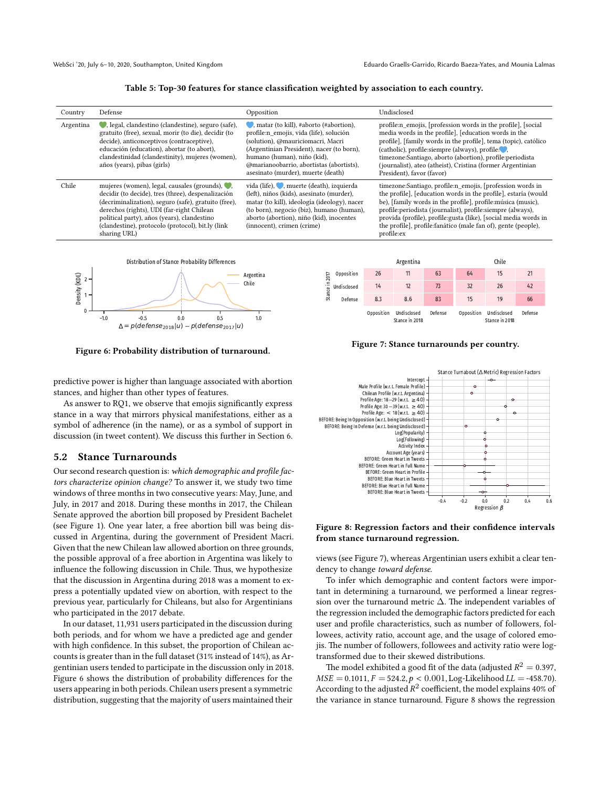#### **Table 5: Top-30 features for stance classification weighted by association to each country.**

| Country   | Defense                                                                                                                                                                                                                                                                                                                    | Opposition                                                                                                                                                                                                                                                                                           | Undisclosed                                                                                                                                                                                                                                                                                                                                                                                                     |
|-----------|----------------------------------------------------------------------------------------------------------------------------------------------------------------------------------------------------------------------------------------------------------------------------------------------------------------------------|------------------------------------------------------------------------------------------------------------------------------------------------------------------------------------------------------------------------------------------------------------------------------------------------------|-----------------------------------------------------------------------------------------------------------------------------------------------------------------------------------------------------------------------------------------------------------------------------------------------------------------------------------------------------------------------------------------------------------------|
| Argentina | , legal, clandestino (clandestine), seguro (safe),<br>gratuito (free), sexual, morir (to die), decidir (to<br>decide), anticonceptivos (contraceptive),<br>educación (education), abortar (to abort),<br>clandestinidad (clandestinity), mujeres (women),<br>años (years), pibas (girls)                                   | $\blacksquare$ , matar (to kill), #aborto (#abortion),<br>profile:n emojis, vida (life), solución<br>(solution), @mauriciomacri, Macri<br>(Argentinian President), nacer (to born),<br>humano (human), niño (kid),<br>@marianoobarrio, abortistas (abortists),<br>asesinato (murder), muerte (death) | profile:n_emojis, [profession words in the profile], [social<br>media words in the profile], [education words in the<br>profile], [family words in the profile], tema (topic), católico<br>(catholic), profile: siempre (always), profile:<br>timezone:Santiago, aborto (abortion), profile:periodista<br>(journalist), ateo (atheist), Cristina (former Argentinian<br>President), favor (favor)               |
| Chile     | mujeres (women), legal, causales (grounds),<br>decidir (to decide), tres (three), despenalización<br>(decriminalization), seguro (safe), gratuito (free),<br>derechos (rights), UDI (far-right Chilean<br>political party), años (years), clandestino<br>(clandestine), protocolo (protocol), bit.ly (link<br>sharing URL) | vida (life), , muerte (death), izquierda<br>(left), niños (kids), asesinato (murder),<br>matar (to kill), ideología (ideology), nacer<br>(to born), negocio (biz), humano (human),<br>aborto (abortion), niño (kid), inocentes<br>(innocent), crimen (crime)                                         | timezone:Santiago, profile:n emojis, [profession words in<br>the profile], [education words in the profile], estaría (would<br>be), [family words in the profile], profile: música (music),<br>profile: periodista (journalist), profile: siempre (always),<br>provida (profile), profile: gusta (like), [social media words in<br>the profile], profile: fanático (male fan of), gente (people),<br>profile:ex |



**Figure 6: Probability distribution of turnaround.**



#### **Figure 7: Stance turnarounds per country.**

predictive power is higher than language associated with abortion stances, and higher than other types of features.

As answer to RQ1, we observe that emojis significantly express stance in a way that mirrors physical manifestations, either as a symbol of adherence (in the name), or as a symbol of support in discussion (in tweet content). We discuss this further in Section 6.

#### **5.2 Stance Turnarounds**

Our second research question is: *which demographic and profile factors characterize opinion change?* To answer it, we study two time windows of three months in two consecutive years: May, June, and July, in 2017 and 2018. During these months in 2017, the Chilean Senate approved the abortion bill proposed by President Bachelet (see Figure 1). One year later, a free abortion bill was being discussed in Argentina, during the government of President Macri. Given that the new Chilean law allowed abortion on three grounds, the possible approval of a free abortion in Argentina was likely to influence the following discussion in Chile. Thus, we hypothesize that the discussion in Argentina during 2018 was a moment to express a potentially updated view on abortion, with respect to the previous year, particularly for Chileans, but also for Argentinians who participated in the 2017 debate.

In our dataset, 11,931 users participated in the discussion during both periods, and for whom we have a predicted age and gender with high confidence. In this subset, the proportion of Chilean accounts is greater than in the full dataset (31% instead of 14%), as Argentinian users tended to participate in the discussion only in 2018. Figure 6 shows the distribution of probability differences for the users appearing in both periods. Chilean users present a symmetric distribution, suggesting that the majority of users maintained their



#### **Figure 8: Regression factors and their confidence intervals from stance turnaround regression.**

views (see Figure 7), whereas Argentinian users exhibit a clear tendency to change *toward defense*.

To infer which demographic and content factors were important in determining a turnaround, we performed a linear regression over the turnaround metric ∆. The independent variables of the regression included the demographic factors predicted for each user and profile characteristics, such as number of followers, followees, activity ratio, account age, and the usage of colored emojis. The number of followers, followees and activity ratio were logtransformed due to their skewed distributions.

The model exhibited a good fit of the data (adjusted  $R^2=$  0.397,  $MSE = 0.1011, F = 524.2, p < 0.001, Log-Likelihood LL = -458.70.$ According to the adjusted  $R^2$  coefficient, the model explains 40% of the variance in stance turnaround. Figure 8 shows the regression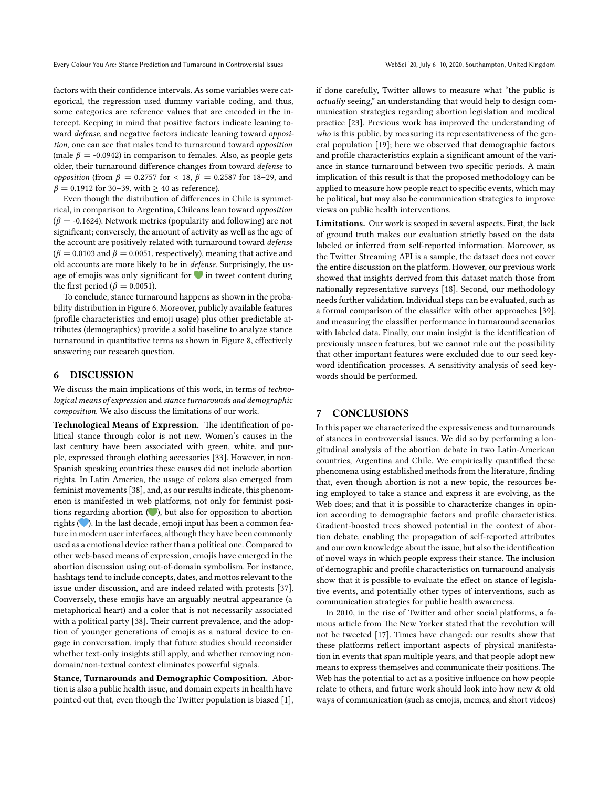factors with their confidence intervals. As some variables were categorical, the regression used dummy variable coding, and thus, some categories are reference values that are encoded in the intercept. Keeping in mind that positive factors indicate leaning toward *defense*, and negative factors indicate leaning toward *opposition*, one can see that males tend to turnaround toward *opposition* (male  $\beta$  = -0.0942) in comparison to females. Also, as people gets older, their turnaround difference changes from toward *defense* to *opposition* (from  $β = 0.2757$  for < 18,  $β = 0.2587$  for 18–29, and  $\beta = 0.1912$  for 30–39, with  $\geq 40$  as reference).

Even though the distribution of differences in Chile is symmetrical, in comparison to Argentina, Chileans lean toward *opposition*  $(\beta = -0.1624)$ . Network metrics (popularity and following) are not significant; conversely, the amount of activity as well as the age of the account are positively related with turnaround toward *defense*  $(\beta = 0.0103$  and  $\beta = 0.0051$ , respectively), meaning that active and old accounts are more likely to be in *defense*. Surprisingly, the usage of emojis was only significant for  $\bullet$  in tweet content during the first period ( $\beta$  = 0.0051).

To conclude, stance turnaround happens as shown in the probability distribution in Figure 6. Moreover, publicly available features (profile characteristics and emoji usage) plus other predictable attributes (demographics) provide a solid baseline to analyze stance turnaround in quantitative terms as shown in Figure 8, effectively answering our research question.

# **6 DISCUSSION**

We discuss the main implications of this work, in terms of *technological means of expression* and *stance turnarounds and demographic composition*. We also discuss the limitations of our work.

**Technological Means of Expression.** The identification of political stance through color is not new. Women's causes in the last century have been associated with green, white, and purple, expressed through clothing accessories [33]. However, in non-Spanish speaking countries these causes did not include abortion rights. In Latin America, the usage of colors also emerged from feminist movements [38], and, as our results indicate, this phenomenon is manifested in web platforms, not only for feminist positions regarding abortion  $($  ), but also for opposition to abortion rights ( $\bullet$ ). In the last decade, emoji input has been a common feature in modern user interfaces, although they have been commonly used as a emotional device rather than a political one. Compared to other web-based means of expression, emojis have emerged in the abortion discussion using out-of-domain symbolism. For instance, hashtags tend to include concepts, dates, and mottos relevant to the issue under discussion, and are indeed related with protests [37]. Conversely, these emojis have an arguably neutral appearance (a metaphorical heart) and a color that is not necessarily associated with a political party [38]. Their current prevalence, and the adoption of younger generations of emojis as a natural device to engage in conversation, imply that future studies should reconsider whether text-only insights still apply, and whether removing nondomain/non-textual context eliminates powerful signals.

**Stance, Turnarounds and Demographic Composition.** Abortion is also a public health issue, and domain experts in health have pointed out that, even though the Twitter population is biased [1],

if done carefully, Twitter allows to measure what "the public is *actually* seeing," an understanding that would help to design communication strategies regarding abortion legislation and medical practice [23]. Previous work has improved the understanding of *who* is this public, by measuring its representativeness of the general population [19]; here we observed that demographic factors and profile characteristics explain a significant amount of the variance in stance turnaround between two specific periods. A main implication of this result is that the proposed methodology can be applied to measure how people react to specific events, which may be political, but may also be communication strategies to improve views on public health interventions.

**Limitations.** Our work is scoped in several aspects. First, the lack of ground truth makes our evaluation strictly based on the data labeled or inferred from self-reported information. Moreover, as the Twitter Streaming API is a sample, the dataset does not cover the entire discussion on the platform. However, our previous work showed that insights derived from this dataset match those from nationally representative surveys [18]. Second, our methodology needs further validation. Individual steps can be evaluated, such as a formal comparison of the classifier with other approaches [39], and measuring the classifier performance in turnaround scenarios with labeled data. Finally, our main insight is the identification of previously unseen features, but we cannot rule out the possibility that other important features were excluded due to our seed keyword identification processes. A sensitivity analysis of seed keywords should be performed.

### **7 CONCLUSIONS**

In this paper we characterized the expressiveness and turnarounds of stances in controversial issues. We did so by performing a longitudinal analysis of the abortion debate in two Latin-American countries, Argentina and Chile. We empirically quantified these phenomena using established methods from the literature, finding that, even though abortion is not a new topic, the resources being employed to take a stance and express it are evolving, as the Web does; and that it is possible to characterize changes in opinion according to demographic factors and profile characteristics. Gradient-boosted trees showed potential in the context of abortion debate, enabling the propagation of self-reported attributes and our own knowledge about the issue, but also the identification of novel ways in which people express their stance. The inclusion of demographic and profile characteristics on turnaround analysis show that it is possible to evaluate the effect on stance of legislative events, and potentially other types of interventions, such as communication strategies for public health awareness.

In 2010, in the rise of Twitter and other social platforms, a famous article from The New Yorker stated that the revolution will not be tweeted [17]. Times have changed: our results show that these platforms reflect important aspects of physical manifestation in events that span multiple years, and that people adopt new means to express themselves and communicate their positions. The Web has the potential to act as a positive influence on how people relate to others, and future work should look into how new & old ways of communication (such as emojis, memes, and short videos)